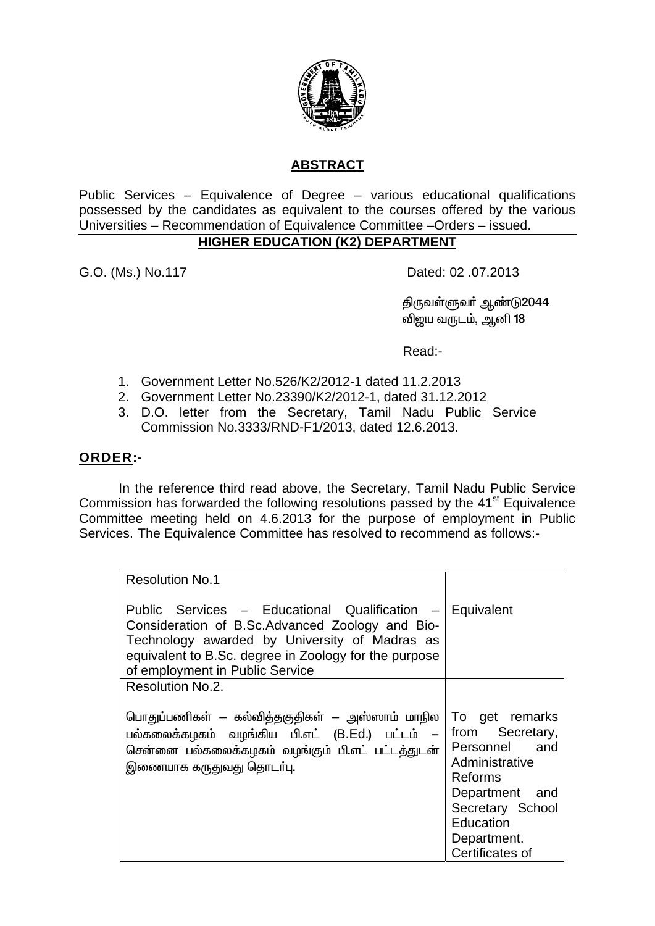

# **ABSTRACT**

Public Services - Equivalence of Degree - various educational qualifications possessed by the candidates as equivalent to the courses offered by the various Universities - Recommendation of Equivalence Committee - Orders - issued.

# **HIGHER EDUCATION (K2) DEPARTMENT**

G.O. (Ms.) No.117

Dated: 02 .07.2013

திருவள்ளுவா் ஆண்டு2044 விஜய வருடம், ஆனி 18

Read:-

- 1. Government Letter No.526/K2/2012-1 dated 11.2.2013
- 2. Government Letter No.23390/K2/2012-1, dated 31.12.2012
- 3. D.O. letter from the Secretary, Tamil Nadu Public Service Commission No.3333/RND-F1/2013, dated 12.6.2013.

### ORDER:-

In the reference third read above, the Secretary, Tamil Nadu Public Service Commission has forwarded the following resolutions passed by the 41<sup>st</sup> Equivalence Committee meeting held on 4.6.2013 for the purpose of employment in Public Services. The Equivalence Committee has resolved to recommend as follows:-

| <b>Resolution No.1</b>                                                                                                                                                                                                                                   |                                                                                                                                                                                |
|----------------------------------------------------------------------------------------------------------------------------------------------------------------------------------------------------------------------------------------------------------|--------------------------------------------------------------------------------------------------------------------------------------------------------------------------------|
| Public Services - Educational Qualification - Equivalent<br>Consideration of B.Sc.Advanced Zoology and Bio-<br>Technology awarded by University of Madras as<br>equivalent to B.Sc. degree in Zoology for the purpose<br>of employment in Public Service |                                                                                                                                                                                |
| Resolution No.2.                                                                                                                                                                                                                                         |                                                                                                                                                                                |
| பொதுப்பணிகள் — கல்வித்தகுதிகள் — அஸ்ஸாம் மாநில<br>பல்கலைக்கழகம் வழங்கிய பி.எட் (B.Ed.) பட்டம் –<br>சென்னை பல்கலைக்கழகம் வழங்கும் பி.எட் பட்டத்துடன்<br>இணையாக கருதுவது தொடா்பு.                                                                          | To get remarks<br>Secretary,<br>from<br>Personnel and<br>Administrative<br><b>Reforms</b><br>Department and<br>Secretary School<br>Education<br>Department.<br>Certificates of |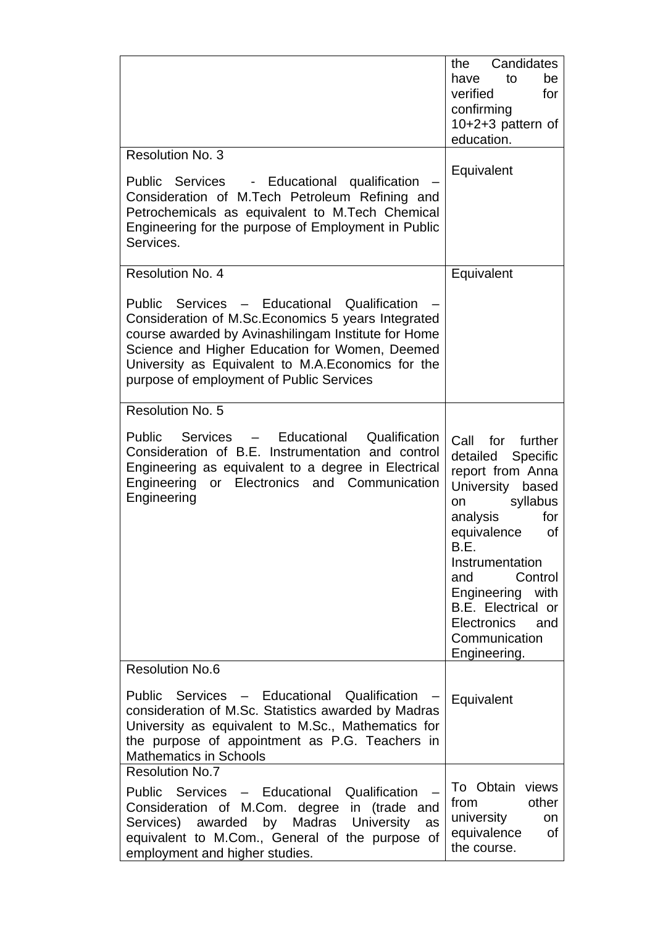|                                                                                                                                                                                                                                                                                                                                  | Candidates<br>the<br>to<br>have<br>be<br>verified<br>for<br>confirming<br>10+2+3 pattern of<br>education.                                                                                                                                                                                                                                                                                                       |
|----------------------------------------------------------------------------------------------------------------------------------------------------------------------------------------------------------------------------------------------------------------------------------------------------------------------------------|-----------------------------------------------------------------------------------------------------------------------------------------------------------------------------------------------------------------------------------------------------------------------------------------------------------------------------------------------------------------------------------------------------------------|
| Resolution No. 3<br>- Educational qualification<br>Public Services<br>Consideration of M.Tech Petroleum Refining and<br>Petrochemicals as equivalent to M.Tech Chemical<br>Engineering for the purpose of Employment in Public<br>Services.                                                                                      | Equivalent                                                                                                                                                                                                                                                                                                                                                                                                      |
| Resolution No. 4<br>Public Services - Educational Qualification<br>Consideration of M.Sc. Economics 5 years Integrated<br>course awarded by Avinashilingam Institute for Home<br>Science and Higher Education for Women, Deemed<br>University as Equivalent to M.A.Economics for the<br>purpose of employment of Public Services | Equivalent                                                                                                                                                                                                                                                                                                                                                                                                      |
| Resolution No. 5<br>Public Services - Educational<br>Qualification<br>Consideration of B.E. Instrumentation and control<br>Engineering as equivalent to a degree in Electrical<br>Engineering or Electronics and Communication<br>Engineering                                                                                    | for further<br>Call<br>detailed Specific<br>report from Anna<br>University<br>based<br>syllabus<br>on and the set of the set of the set of the set of the set of the set of the set of the set of the set of the s<br>analysis<br>for<br>equivalence<br>0f<br>B.E.<br>Instrumentation<br>Control<br>and<br>Engineering with<br>B.E. Electrical or<br><b>Electronics</b><br>and<br>Communication<br>Engineering. |
| <b>Resolution No.6</b><br>Public Services - Educational Qualification<br>consideration of M.Sc. Statistics awarded by Madras<br>University as equivalent to M.Sc., Mathematics for<br>the purpose of appointment as P.G. Teachers in<br><b>Mathematics in Schools</b>                                                            | Equivalent                                                                                                                                                                                                                                                                                                                                                                                                      |
| <b>Resolution No.7</b><br>Public Services - Educational Qualification<br>Consideration of M.Com. degree in (trade and<br>Services) awarded by Madras University<br>as<br>equivalent to M.Com., General of the purpose of<br>employment and higher studies.                                                                       | To Obtain views<br>other<br>from<br>university<br><b>on</b><br>equivalence<br>of<br>the course.                                                                                                                                                                                                                                                                                                                 |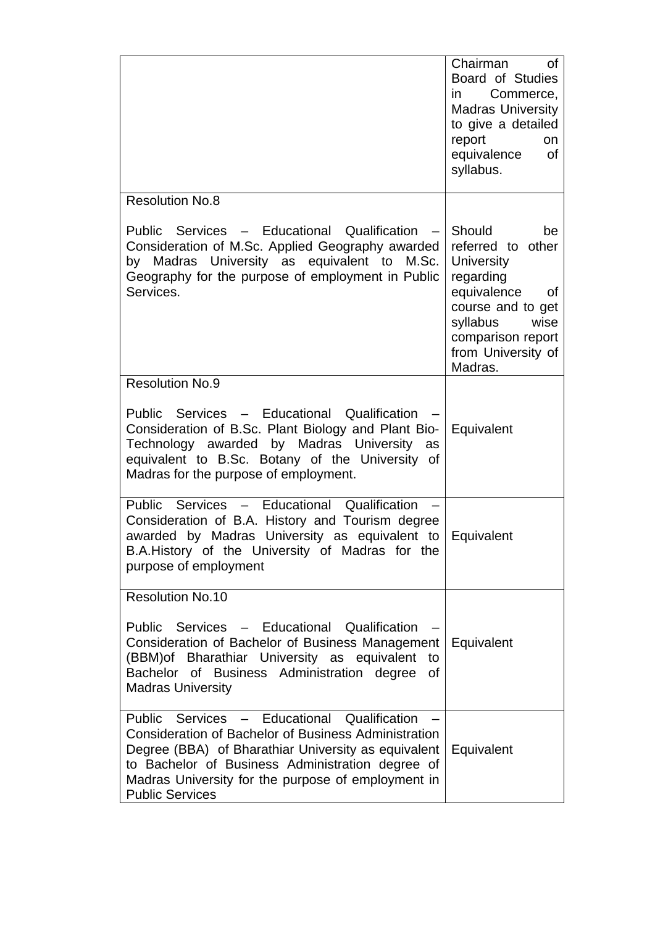|                                                                                                                                                                                                                                                                                                       | Chairman<br><b>of</b><br>Board of Studies<br>Commerce,<br>in in<br><b>Madras University</b><br>to give a detailed<br>report<br>on<br>equivalence<br><b>of</b><br>syllabus.              |
|-------------------------------------------------------------------------------------------------------------------------------------------------------------------------------------------------------------------------------------------------------------------------------------------------------|-----------------------------------------------------------------------------------------------------------------------------------------------------------------------------------------|
| <b>Resolution No.8</b>                                                                                                                                                                                                                                                                                |                                                                                                                                                                                         |
| Public Services - Educational Qualification -<br>Consideration of M.Sc. Applied Geography awarded<br>by Madras University as equivalent to<br>M.Sc.<br>Geography for the purpose of employment in Public<br>Services.                                                                                 | Should<br>be<br>referred to other<br><b>University</b><br>regarding<br>equivalence<br>0f<br>course and to get<br>syllabus<br>wise<br>comparison report<br>from University of<br>Madras. |
| <b>Resolution No.9</b>                                                                                                                                                                                                                                                                                |                                                                                                                                                                                         |
| Public Services - Educational Qualification<br>Consideration of B.Sc. Plant Biology and Plant Bio-<br>Technology awarded by Madras University as<br>equivalent to B.Sc. Botany of the University of<br>Madras for the purpose of employment.                                                          | Equivalent                                                                                                                                                                              |
| Public Services - Educational Qualification<br>Consideration of B.A. History and Tourism degree<br>awarded by Madras University as equivalent to<br>B.A.History of the University of Madras for the<br>purpose of employment                                                                          | Equivalent                                                                                                                                                                              |
| <b>Resolution No.10</b>                                                                                                                                                                                                                                                                               |                                                                                                                                                                                         |
| Public Services - Educational Qualification<br>Consideration of Bachelor of Business Management<br>(BBM) of Bharathiar University as equivalent<br>to<br>Bachelor of Business Administration degree<br>0f<br><b>Madras University</b>                                                                 | Equivalent                                                                                                                                                                              |
| Public Services - Educational Qualification<br><b>Consideration of Bachelor of Business Administration</b><br>Degree (BBA) of Bharathiar University as equivalent<br>to Bachelor of Business Administration degree of<br>Madras University for the purpose of employment in<br><b>Public Services</b> | Equivalent                                                                                                                                                                              |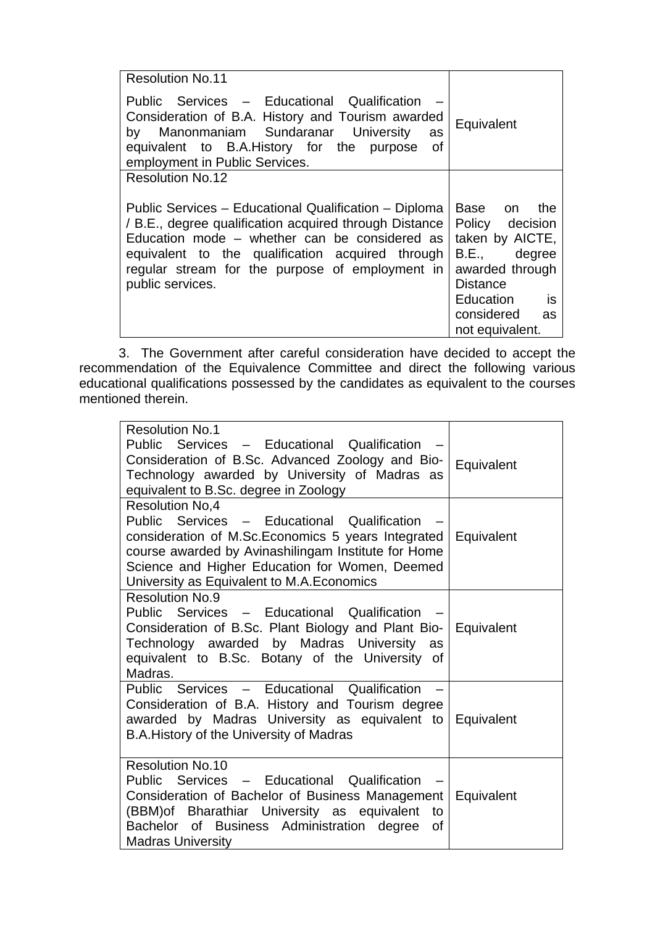| <b>Resolution No.11</b>                                                                                                                                                                                                                                                                     |                                                                                                                                                                   |
|---------------------------------------------------------------------------------------------------------------------------------------------------------------------------------------------------------------------------------------------------------------------------------------------|-------------------------------------------------------------------------------------------------------------------------------------------------------------------|
| Public Services - Educational Qualification<br>Consideration of B.A. History and Tourism awarded<br>by Manonmaniam Sundaranar University<br>as<br>equivalent to B.A.History for the purpose of<br>employment in Public Services.                                                            | Equivalent                                                                                                                                                        |
| <b>Resolution No.12</b>                                                                                                                                                                                                                                                                     |                                                                                                                                                                   |
| Public Services - Educational Qualification - Diploma<br>/ B.E., degree qualification acquired through Distance<br>Education mode – whether can be considered as<br>equivalent to the qualification acquired through<br>regular stream for the purpose of employment in<br>public services. | Base on<br>the<br>Policy decision<br>taken by AICTE,<br>B.E., degree<br>awarded through<br><b>Distance</b><br>is<br>Education<br>considered as<br>not equivalent. |

3. The Government after careful consideration have decided to accept the recommendation of the Equivalence Committee and direct the following various educational qualifications possessed by the candidates as equivalent to the courses mentioned therein.

| <b>Resolution No.1</b><br>Public Services - Educational Qualification<br>Consideration of B.Sc. Advanced Zoology and Bio-<br>Technology awarded by University of Madras as<br>equivalent to B.Sc. degree in Zoology                                                                 | Equivalent |
|-------------------------------------------------------------------------------------------------------------------------------------------------------------------------------------------------------------------------------------------------------------------------------------|------------|
| <b>Resolution No.4</b><br>Public Services - Educational Qualification<br>consideration of M.Sc. Economics 5 years Integrated<br>course awarded by Avinashilingam Institute for Home<br>Science and Higher Education for Women, Deemed<br>University as Equivalent to M.A. Economics | Equivalent |
| <b>Resolution No.9</b><br>Public Services - Educational Qualification<br>Consideration of B.Sc. Plant Biology and Plant Bio-   Equivalent<br>Technology awarded by Madras University as<br>equivalent to B.Sc. Botany of the University of<br>Madras.                               |            |
| Public Services - Educational Qualification<br>Consideration of B.A. History and Tourism degree<br>awarded by Madras University as equivalent to Equivalent<br>B.A. History of the University of Madras                                                                             |            |
| <b>Resolution No.10</b><br>Public Services - Educational Qualification<br>Consideration of Bachelor of Business Management<br>(BBM) of Bharathiar University as equivalent<br>to<br>Bachelor of Business Administration degree<br>of<br><b>Madras University</b>                    | Equivalent |